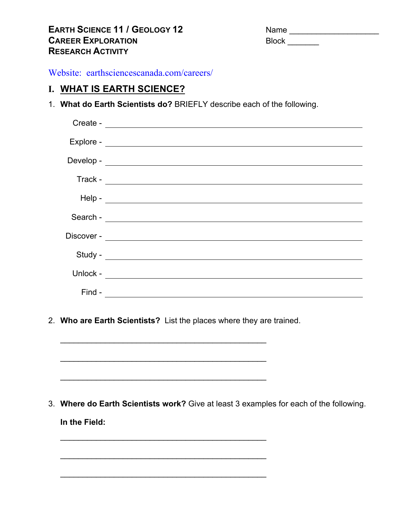| <b>Name</b>  |  |
|--------------|--|
| <b>Block</b> |  |

Website: earthsciencescanada.com/careers/

# **I. WHAT IS EARTH SCIENCE?**

1. **What do Earth Scientists do?** BRIEFLY describe each of the following.

| $\textsf{Develop -}$ |
|----------------------|
|                      |
|                      |
|                      |
|                      |
|                      |
|                      |
|                      |
|                      |
|                      |
|                      |

2. **Who are Earth Scientists?** List the places where they are trained.

 $\mathcal{L}_\text{max}$  , and the contract of the contract of the contract of the contract of the contract of the contract of the contract of the contract of the contract of the contract of the contract of the contract of the contr

 $\overline{\phantom{a}}$  ,  $\overline{\phantom{a}}$  ,  $\overline{\phantom{a}}$  ,  $\overline{\phantom{a}}$  ,  $\overline{\phantom{a}}$  ,  $\overline{\phantom{a}}$  ,  $\overline{\phantom{a}}$  ,  $\overline{\phantom{a}}$  ,  $\overline{\phantom{a}}$  ,  $\overline{\phantom{a}}$  ,  $\overline{\phantom{a}}$  ,  $\overline{\phantom{a}}$  ,  $\overline{\phantom{a}}$  ,  $\overline{\phantom{a}}$  ,  $\overline{\phantom{a}}$  ,  $\overline{\phantom{a}}$ 

 $\mathcal{L}_\text{max}$  , and the contract of the contract of the contract of the contract of the contract of the contract of the contract of the contract of the contract of the contract of the contract of the contract of the contr

 $\mathcal{L}_\text{max}$  , and the contract of the contract of the contract of the contract of the contract of the contract of the contract of the contract of the contract of the contract of the contract of the contract of the contr

 $\mathcal{L}_\text{max}$  , and the contract of the contract of the contract of the contract of the contract of the contract of the contract of the contract of the contract of the contract of the contract of the contract of the contr

 $\overline{\phantom{a}}$  ,  $\overline{\phantom{a}}$  ,  $\overline{\phantom{a}}$  ,  $\overline{\phantom{a}}$  ,  $\overline{\phantom{a}}$  ,  $\overline{\phantom{a}}$  ,  $\overline{\phantom{a}}$  ,  $\overline{\phantom{a}}$  ,  $\overline{\phantom{a}}$  ,  $\overline{\phantom{a}}$  ,  $\overline{\phantom{a}}$  ,  $\overline{\phantom{a}}$  ,  $\overline{\phantom{a}}$  ,  $\overline{\phantom{a}}$  ,  $\overline{\phantom{a}}$  ,  $\overline{\phantom{a}}$ 

3. **Where do Earth Scientists work?** Give at least 3 examples for each of the following. **In the Field:**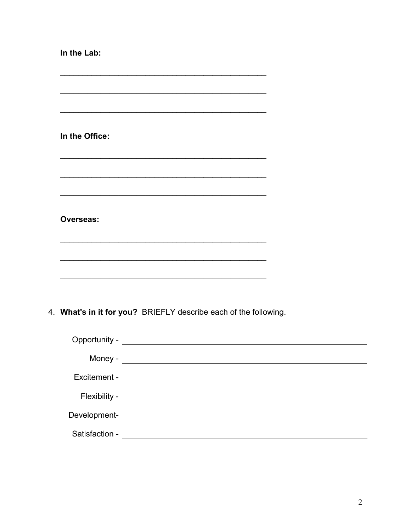| In the Lab:                                                      |  |
|------------------------------------------------------------------|--|
|                                                                  |  |
|                                                                  |  |
| In the Office:                                                   |  |
|                                                                  |  |
|                                                                  |  |
| <b>Overseas:</b>                                                 |  |
|                                                                  |  |
|                                                                  |  |
|                                                                  |  |
| 4. What's in it for you? BRIEFLY describe each of the following. |  |
|                                                                  |  |
|                                                                  |  |
|                                                                  |  |

Satisfaction - Latin Contract Contract Contract Contract Contract Contract Contract Contract Contract Contract Contract Contract Contract Contract Contract Contract Contract Contract Contract Contract Contract Contract Con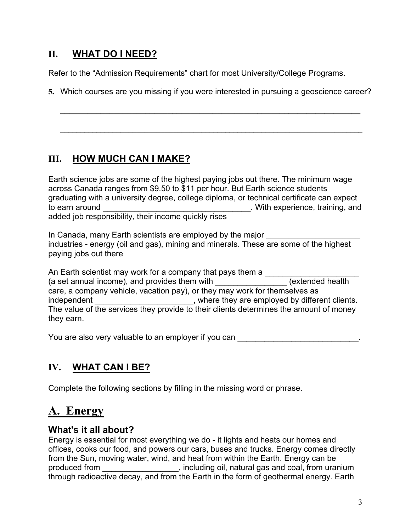# **II. WHAT DO I NEED?**

Refer to the "Admission Requirements" chart for most University/College Programs.

**5.** Which courses are you missing if you were interested in pursuing a geoscience career?

**\_\_\_\_\_\_\_\_\_\_\_\_\_\_\_\_\_\_\_\_\_\_\_\_\_\_\_\_\_\_\_\_\_\_\_\_\_\_\_\_\_\_\_\_\_\_\_\_\_\_\_\_\_\_\_\_\_\_\_\_\_\_\_\_\_\_\_**

**\_\_\_\_\_\_\_\_\_\_\_\_\_\_\_\_\_\_\_\_\_\_\_\_\_\_\_\_\_\_\_\_\_\_\_\_\_\_\_\_\_\_\_\_\_\_\_\_\_\_\_\_\_\_\_\_\_\_\_\_\_\_\_\_\_\_\_\_\_\_\_\_\_\_\_** 

# **III. HOW MUCH CAN I MAKE?**

Earth science jobs are some of the highest paying jobs out there. The minimum wage across Canada ranges from \$9.50 to \$11 per hour. But Earth science students graduating with a university degree, college diploma, or technical certificate can expect to earn around **of the earn around** to earn around  $\sim$  . With experience, training, and added job responsibility, their income quickly rises

In Canada, many Earth scientists are employed by the major industries - energy (oil and gas), mining and minerals. These are some of the highest paying jobs out there

An Earth scientist may work for a company that pays them a \_\_\_\_\_\_\_\_\_\_\_\_\_\_\_\_\_\_\_\_\_ (a set annual income), and provides them with **the contract of the set of the set of the set of the set of the set of the set of the set of the set of the set of the set of the set of the set of the set of the set of the s** care, a company vehicle, vacation pay), or they may work for themselves as independent \_\_\_\_\_\_\_\_\_\_\_\_\_\_\_\_\_\_\_\_\_\_, where they are employed by different clients. The value of the services they provide to their clients determines the amount of money they earn.

You are also very valuable to an employer if you can

# **IV. WHAT CAN I BE?**

Complete the following sections by filling in the missing word or phrase.

# **A. Energy**

# **What's it all about?**

Energy is essential for most everything we do - it lights and heats our homes and offices, cooks our food, and powers our cars, buses and trucks. Energy comes directly from the Sun, moving water, wind, and heat from within the Earth. Energy can be produced from \_\_\_\_\_\_\_\_\_\_\_\_\_\_\_\_\_, including oil, natural gas and coal, from uranium through radioactive decay, and from the Earth in the form of geothermal energy. Earth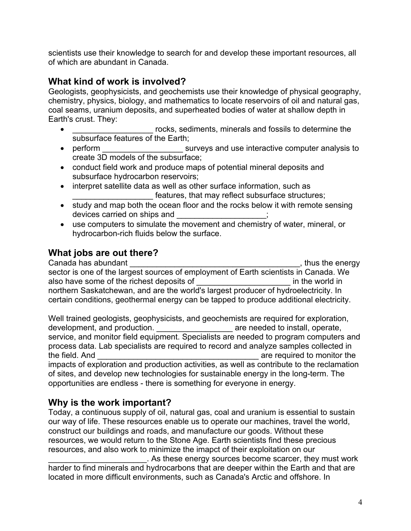scientists use their knowledge to search for and develop these important resources, all of which are abundant in Canada.

# **What kind of work is involved?**

Geologists, geophysicists, and geochemists use their knowledge of physical geography, chemistry, physics, biology, and mathematics to locate reservoirs of oil and natural gas, coal seams, uranium deposits, and superheated bodies of water at shallow depth in Earth's crust. They:

- rocks, sediments, minerals and fossils to determine the subsurface features of the Earth;
- perform surveys and use interactive computer analysis to create 3D models of the subsurface;
- conduct field work and produce maps of potential mineral deposits and subsurface hydrocarbon reservoirs;
- interpret satellite data as well as other surface information, such as features, that may reflect subsurface structures;
- study and map both the ocean floor and the rocks below it with remote sensing devices carried on ships and \_\_\_\_\_\_\_\_\_\_\_\_\_\_\_\_\_;
- use computers to simulate the movement and chemistry of water, mineral, or hydrocarbon-rich fluids below the surface.

# **What jobs are out there?**

Canada has abundant **Canada** has abundant sector is one of the largest sources of employment of Earth scientists in Canada. We also have some of the richest deposits of \_\_\_\_\_\_\_\_\_\_\_\_\_\_\_\_\_\_\_\_\_ in the world in northern Saskatchewan, and are the world's largest producer of hydroelectricity. In certain conditions, geothermal energy can be tapped to produce additional electricity.

Well trained geologists, geophysicists, and geochemists are required for exploration, development, and production. \_\_\_\_\_\_\_\_\_\_\_\_\_\_\_\_\_\_\_\_\_\_\_ are needed to install, operate, service, and monitor field equipment. Specialists are needed to program computers and process data. Lab specialists are required to record and analyze samples collected in the field. And **the field** are required to monitor the impacts of exploration and production activities, as well as contribute to the reclamation of sites, and develop new technologies for sustainable energy in the long-term. The opportunities are endless - there is something for everyone in energy.

# **Why is the work important?**

Today, a continuous supply of oil, natural gas, coal and uranium is essential to sustain our way of life. These resources enable us to operate our machines, travel the world, construct our buildings and roads, and manufacture our goods. Without these resources, we would return to the Stone Age. Earth scientists find these precious resources, and also work to minimize the imapct of their exploitation on our

\_\_\_\_\_\_\_\_\_\_\_\_\_\_\_\_\_\_\_\_\_\_. As these energy sources become scarcer, they must work harder to find minerals and hydrocarbons that are deeper within the Earth and that are located in more difficult environments, such as Canada's Arctic and offshore. In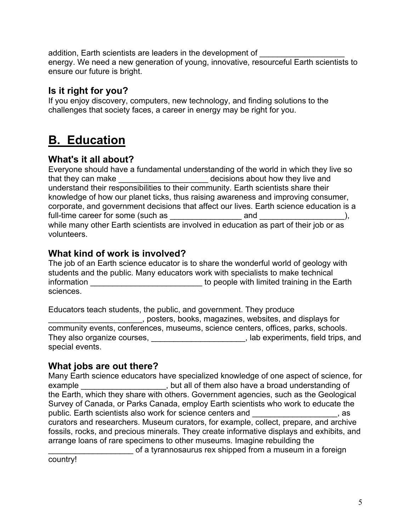addition, Earth scientists are leaders in the development of energy. We need a new generation of young, innovative, resourceful Earth scientists to ensure our future is bright.

# **Is it right for you?**

If you enjoy discovery, computers, new technology, and finding solutions to the challenges that society faces, a career in energy may be right for you.

# **B. Education**

# **What's it all about?**

Everyone should have a fundamental understanding of the world in which they live so that they can make the state of the decisions about how they live and understand their responsibilities to their community. Earth scientists share their knowledge of how our planet ticks, thus raising awareness and improving consumer, corporate, and government decisions that affect our lives. Earth science education is a full-time career for some (such as \_\_\_\_\_\_\_\_\_\_\_\_\_\_\_\_ and \_\_\_\_\_\_\_\_\_\_\_\_\_\_\_\_\_\_\_), while many other Earth scientists are involved in education as part of their job or as volunteers.

# **What kind of work is involved?**

The job of an Earth science educator is to share the wonderful world of geology with students and the public. Many educators work with specialists to make technical information \_\_\_\_\_\_\_\_\_\_\_\_\_\_\_\_\_\_\_\_\_\_\_\_\_\_\_\_\_\_\_\_\_ to people with limited training in the Earth sciences.

Educators teach students, the public, and government. They produce \_\_\_\_\_\_\_\_\_\_\_\_\_\_\_\_\_\_\_\_\_, posters, books, magazines, websites, and displays for community events, conferences, museums, science centers, offices, parks, schools. They also organize courses, \_\_\_\_\_\_\_\_\_\_\_\_\_\_\_\_\_\_\_\_\_, lab experiments, field trips, and special events.

# **What jobs are out there?**

Many Earth science educators have specialized knowledge of one aspect of science, for example \_\_\_\_\_\_\_\_\_\_\_\_\_\_\_\_\_\_\_, but all of them also have a broad understanding of the Earth, which they share with others. Government agencies, such as the Geological Survey of Canada, or Parks Canada, employ Earth scientists who work to educate the public. Earth scientists also work for science centers and \_\_\_\_\_\_\_\_\_\_\_\_\_\_\_\_\_\_\_, as curators and researchers. Museum curators, for example, collect, prepare, and archive fossils, rocks, and precious minerals. They create informative displays and exhibits, and arrange loans of rare specimens to other museums. Imagine rebuilding the

\_\_\_\_\_\_\_\_\_\_\_\_\_\_\_\_\_\_\_ of a tyrannosaurus rex shipped from a museum in a foreign

country!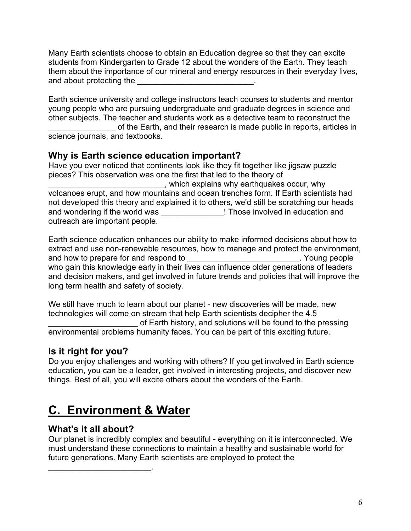Many Earth scientists choose to obtain an Education degree so that they can excite students from Kindergarten to Grade 12 about the wonders of the Earth. They teach them about the importance of our mineral and energy resources in their everyday lives, and about protecting the **EXALL** 

Earth science university and college instructors teach courses to students and mentor young people who are pursuing undergraduate and graduate degrees in science and other subjects. The teacher and students work as a detective team to reconstruct the of the Earth, and their research is made public in reports, articles in science journals, and textbooks.

# **Why is Earth science education important?**

Have you ever noticed that continents look like they fit together like jigsaw puzzle pieces? This observation was one the first that led to the theory of \_\_\_\_\_\_\_\_\_\_\_\_\_\_\_\_\_\_\_\_\_\_\_\_\_\_, which explains why earthquakes occur, why volcanoes erupt, and how mountains and ocean trenches form. If Earth scientists had not developed this theory and explained it to others, we'd still be scratching our heads and wondering if the world was \_\_\_\_\_\_\_\_\_\_\_\_\_\_\_\_! Those involved in education and outreach are important people.

Earth science education enhances our ability to make informed decisions about how to extract and use non-renewable resources, how to manage and protect the environment, and how to prepare for and respond to **with the summan and how to prepare** for and respond to  $\frac{1}{2}$ who gain this knowledge early in their lives can influence older generations of leaders and decision makers, and get involved in future trends and policies that will improve the long term health and safety of society.

We still have much to learn about our planet - new discoveries will be made, new technologies will come on stream that help Earth scientists decipher the 4.5 of Earth history, and solutions will be found to the pressing environmental problems humanity faces. You can be part of this exciting future.

# **Is it right for you?**

Do you enjoy challenges and working with others? If you get involved in Earth science education, you can be a leader, get involved in interesting projects, and discover new things. Best of all, you will excite others about the wonders of the Earth.

# **C. Environment & Water**

# **What's it all about?**

 $\mathcal{L}_\text{max}$  , which is a set of the set of the set of the set of the set of the set of the set of the set of the set of the set of the set of the set of the set of the set of the set of the set of the set of the set of

Our planet is incredibly complex and beautiful - everything on it is interconnected. We must understand these connections to maintain a healthy and sustainable world for future generations. Many Earth scientists are employed to protect the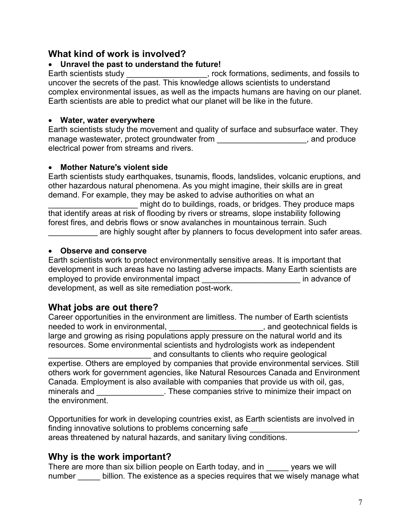# **What kind of work is involved?**

# **Unravel the past to understand the future!**

Earth scientists study \_\_\_\_\_\_\_\_\_\_\_\_\_\_\_\_\_, rock formations, sediments, and fossils to uncover the secrets of the past. This knowledge allows scientists to understand complex environmental issues, as well as the impacts humans are having on our planet. Earth scientists are able to predict what our planet will be like in the future.

# **Water, water everywhere**

Earth scientists study the movement and quality of surface and subsurface water. They manage wastewater, protect groundwater from \_\_\_\_\_\_\_\_\_\_\_\_\_\_\_\_\_\_\_\_\_\_\_, and produce electrical power from streams and rivers.

# **Mother Nature's violent side**

Earth scientists study earthquakes, tsunamis, floods, landslides, volcanic eruptions, and other hazardous natural phenomena. As you might imagine, their skills are in great demand. For example, they may be asked to advise authorities on what an

might do to buildings, roads, or bridges. They produce maps that identify areas at risk of flooding by rivers or streams, slope instability following forest fires, and debris flows or snow avalanches in mountainous terrain. Such are highly sought after by planners to focus development into safer areas.

# **Observe and conserve**

Earth scientists work to protect environmentally sensitive areas. It is important that development in such areas have no lasting adverse impacts. Many Earth scientists are employed to provide environmental impact entitled and the state of state of  $\blacksquare$ development, as well as site remediation post-work.

# **What jobs are out there?**

Career opportunities in the environment are limitless. The number of Earth scientists needed to work in environmental, \_\_\_\_\_\_\_\_\_\_\_\_\_\_\_\_\_\_\_\_\_\_\_, and geotechnical fields is large and growing as rising populations apply pressure on the natural world and its resources. Some environmental scientists and hydrologists work as independent and consultants to clients who require geological expertise. Others are employed by companies that provide environmental services. Still others work for government agencies, like Natural Resources Canada and Environment Canada. Employment is also available with companies that provide us with oil, gas, minerals and \_\_\_\_\_\_\_\_\_\_\_\_\_\_\_\_. These companies strive to minimize their impact on the environment.

Opportunities for work in developing countries exist, as Earth scientists are involved in finding innovative solutions to problems concerning safe areas threatened by natural hazards, and sanitary living conditions.

# **Why is the work important?**

There are more than six billion people on Earth today, and in years we will number \_\_\_\_\_ billion. The existence as a species requires that we wisely manage what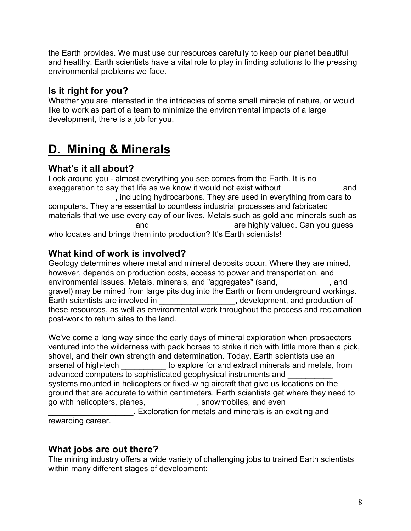the Earth provides. We must use our resources carefully to keep our planet beautiful and healthy. Earth scientists have a vital role to play in finding solutions to the pressing environmental problems we face.

# **Is it right for you?**

Whether you are interested in the intricacies of some small miracle of nature, or would like to work as part of a team to minimize the environmental impacts of a large development, there is a job for you.

# **D. Mining & Minerals**

# **What's it all about?**

Look around you - almost everything you see comes from the Earth. It is no exaggeration to say that life as we know it would not exist without exaggeration to say that life as we know it would not exist without \_\_\_\_\_\_\_\_\_\_\_\_\_\_\_, including hydrocarbons. They are used in everything from cars to computers. They are essential to countless industrial processes and fabricated materials that we use every day of our lives. Metals such as gold and minerals such as and are highly valued. Can you guess who locates and brings them into production? It's Earth scientists!

# **What kind of work is involved?**

Geology determines where metal and mineral deposits occur. Where they are mined, however, depends on production costs, access to power and transportation, and environmental issues. Metals, minerals, and "aggregates" (sand, entitled and and gravel) may be mined from large pits dug into the Earth or from underground workings. Earth scientists are involved in **Earth**, development, and production of these resources, as well as environmental work throughout the process and reclamation post-work to return sites to the land.

We've come a long way since the early days of mineral exploration when prospectors ventured into the wilderness with pack horses to strike it rich with little more than a pick, shovel, and their own strength and determination. Today, Earth scientists use an arsenal of high-tech \_\_\_\_\_\_\_\_\_\_ to explore for and extract minerals and metals, from advanced computers to sophisticated geophysical instruments and systems mounted in helicopters or fixed-wing aircraft that give us locations on the ground that are accurate to within centimeters. Earth scientists get where they need to go with helicopters, planes, \_\_\_\_\_\_\_\_\_\_\_, snowmobiles, and even \_\_\_\_\_\_\_\_\_\_\_\_\_\_\_\_\_\_\_. Exploration for metals and minerals is an exciting and rewarding career.

# **What jobs are out there?**

The mining industry offers a wide variety of challenging jobs to trained Earth scientists within many different stages of development: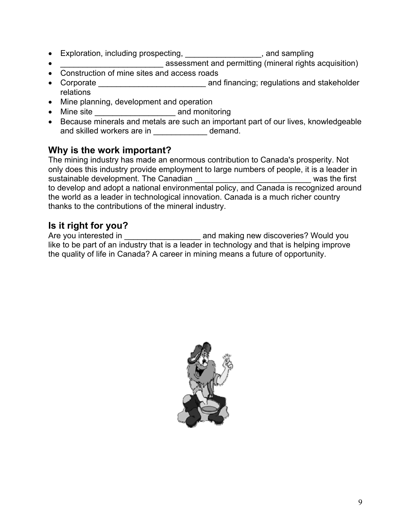- Exploration, including prospecting, entitled and sampling of the state of the state of the state of the state of the state of the state of the state of the state of the state of the state of the state of the state of the
- \_\_\_\_\_\_\_\_\_\_\_\_\_\_\_\_\_\_\_\_\_\_\_ assessment and permitting (mineral rights acquisition)
- Construction of mine sites and access roads
- Corporate **Late and Structure and Structure and financing**; regulations and stakeholder relations
- Mine planning, development and operation
- Mine site \_\_\_\_\_\_\_\_\_\_\_\_\_\_\_\_\_\_ and monitoring
- Because minerals and metals are such an important part of our lives, knowledgeable and skilled workers are in \_\_\_\_\_\_\_\_\_\_\_\_\_ demand.

# **Why is the work important?**

The mining industry has made an enormous contribution to Canada's prosperity. Not only does this industry provide employment to large numbers of people, it is a leader in sustainable development. The Canadian **Example 20** and the first to develop and adopt a national environmental policy, and Canada is recognized around the world as a leader in technological innovation. Canada is a much richer country thanks to the contributions of the mineral industry.

# **Is it right for you?**

Are you interested in \_\_\_\_\_\_\_\_\_\_\_\_\_\_\_\_\_\_\_\_\_\_\_\_ and making new discoveries? Would you like to be part of an industry that is a leader in technology and that is helping improve the quality of life in Canada? A career in mining means a future of opportunity.

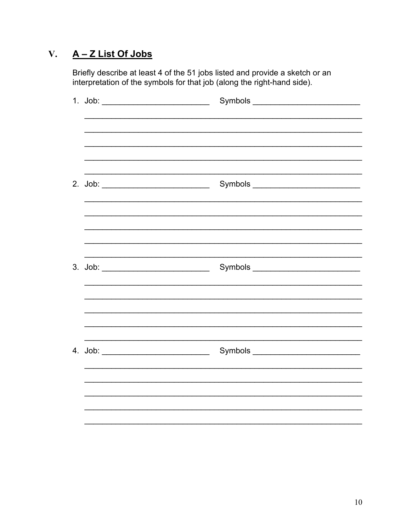#### A - Z List Of Jobs  $V_{\bullet}$

Briefly describe at least 4 of the 51 jobs listed and provide a sketch or an interpretation of the symbols for that job (along the right-hand side).

| 1. Job: ____________________________ | Symbols __________________________ |
|--------------------------------------|------------------------------------|
|                                      |                                    |
|                                      |                                    |
|                                      |                                    |
|                                      |                                    |
|                                      |                                    |
|                                      |                                    |
|                                      |                                    |
|                                      |                                    |
|                                      |                                    |
|                                      |                                    |
|                                      |                                    |
|                                      |                                    |
|                                      |                                    |
|                                      |                                    |
|                                      |                                    |
|                                      |                                    |
|                                      |                                    |
|                                      |                                    |
|                                      |                                    |
|                                      |                                    |
|                                      |                                    |
|                                      |                                    |
|                                      |                                    |
|                                      |                                    |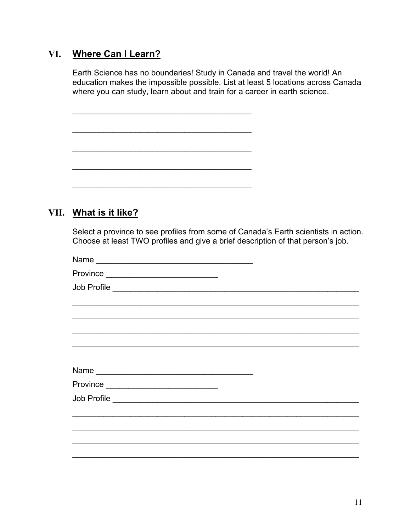# VI. Where Can I Learn?

Earth Science has no boundaries! Study in Canada and travel the world! An education makes the impossible possible. List at least 5 locations across Canada where you can study, learn about and train for a career in earth science.

VII. What is it like?

Select a province to see profiles from some of Canada's Earth scientists in action. Choose at least TWO profiles and give a brief description of that person's job.

|                                                           | ,我们也不能在这里的人,我们也不能在这里的人,我们也不能不能不能不能不能不能不能不能不能不能不能。""我们的人,我们也不能不能不能不能不能不能不能不能不能不能不 |
|-----------------------------------------------------------|----------------------------------------------------------------------------------|
|                                                           |                                                                                  |
|                                                           |                                                                                  |
|                                                           |                                                                                  |
|                                                           |                                                                                  |
| Province ________________________________                 |                                                                                  |
|                                                           |                                                                                  |
| <u> 1989 - John Stone, Amerikaansk politiker (* 1908)</u> |                                                                                  |
|                                                           |                                                                                  |
|                                                           |                                                                                  |
|                                                           |                                                                                  |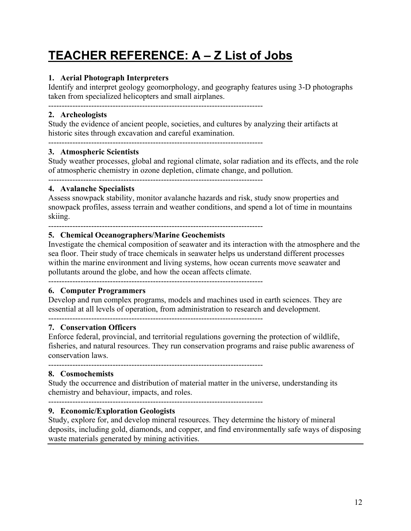# **TEACHER REFERENCE: A – Z List of Jobs**

# **1. Aerial Photograph Interpreters**

Identify and interpret geology geomorphology, and geography features using 3-D photographs taken from specialized helicopters and small airplanes.

--------------------------------------------------------------------------------

--------------------------------------------------------------------------------

## **2. Archeologists**

Study the evidence of ancient people, societies, and cultures by analyzing their artifacts at historic sites through excavation and careful examination.

### **3. Atmospheric Scientists**

Study weather processes, global and regional climate, solar radiation and its effects, and the role of atmospheric chemistry in ozone depletion, climate change, and pollution.

--------------------------------------------------------------------------------

# **4. Avalanche Specialists**

Assess snowpack stability, monitor avalanche hazards and risk, study snow properties and snowpack profiles, assess terrain and weather conditions, and spend a lot of time in mountains skiing.

--------------------------------------------------------------------------------

### **5. Chemical Oceanographers/Marine Geochemists**

Investigate the chemical composition of seawater and its interaction with the atmosphere and the sea floor. Their study of trace chemicals in seawater helps us understand different processes within the marine environment and living systems, how ocean currents move seawater and pollutants around the globe, and how the ocean affects climate.

--------------------------------------------------------------------------------

### **6. Computer Programmers**

Develop and run complex programs, models and machines used in earth sciences. They are essential at all levels of operation, from administration to research and development.

--------------------------------------------------------------------------------

## **7. Conservation Officers**

Enforce federal, provincial, and territorial regulations governing the protection of wildlife, fisheries, and natural resources. They run conservation programs and raise public awareness of conservation laws.

--------------------------------------------------------------------------------

### **8. Cosmochemists**

Study the occurrence and distribution of material matter in the universe, understanding its chemistry and behaviour, impacts, and roles.

--------------------------------------------------------------------------------

# **9. Economic/Exploration Geologists**

Study, explore for, and develop mineral resources. They determine the history of mineral deposits, including gold, diamonds, and copper, and find environmentally safe ways of disposing waste materials generated by mining activities.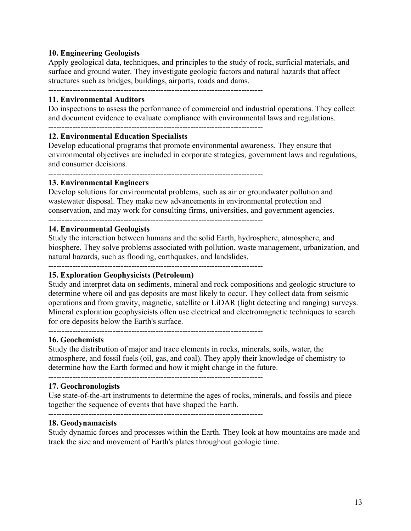# **10. Engineering Geologists**

Apply geological data, techniques, and principles to the study of rock, surficial materials, and surface and ground water. They investigate geologic factors and natural hazards that affect structures such as bridges, buildings, airports, roads and dams.

--------------------------------------------------------------------------------

### **11. Environmental Auditors**

Do inspections to assess the performance of commercial and industrial operations. They collect and document evidence to evaluate compliance with environmental laws and regulations.

--------------------------------------------------------------------------------

## **12. Environmental Education Specialists**

Develop educational programs that promote environmental awareness. They ensure that environmental objectives are included in corporate strategies, government laws and regulations, and consumer decisions.

--------------------------------------------------------------------------------

#### **13. Environmental Engineers**

Develop solutions for environmental problems, such as air or groundwater pollution and wastewater disposal. They make new advancements in environmental protection and conservation, and may work for consulting firms, universities, and government agencies. --------------------------------------------------------------------------------

#### **14. Environmental Geologists**

Study the interaction between humans and the solid Earth, hydrosphere, atmosphere, and biosphere. They solve problems associated with pollution, waste management, urbanization, and natural hazards, such as flooding, earthquakes, and landslides.

--------------------------------------------------------------------------------

# **15. Exploration Geophysicists (Petroleum)**

Study and interpret data on sediments, mineral and rock compositions and geologic structure to determine where oil and gas deposits are most likely to occur. They collect data from seismic operations and from gravity, magnetic, satellite or LiDAR (light detecting and ranging) surveys. Mineral exploration geophysicists often use electrical and electromagnetic techniques to search for ore deposits below the Earth's surface. --------------------------------------------------------------------------------

#### **16. Geochemists**

Study the distribution of major and trace elements in rocks, minerals, soils, water, the atmosphere, and fossil fuels (oil, gas, and coal). They apply their knowledge of chemistry to determine how the Earth formed and how it might change in the future.

--------------------------------------------------------------------------------

### **17. Geochronologists**

Use state-of-the-art instruments to determine the ages of rocks, minerals, and fossils and piece together the sequence of events that have shaped the Earth.

--------------------------------------------------------------------------------

#### **18. Geodynamacists**

Study dynamic forces and processes within the Earth. They look at how mountains are made and track the size and movement of Earth's plates throughout geologic time.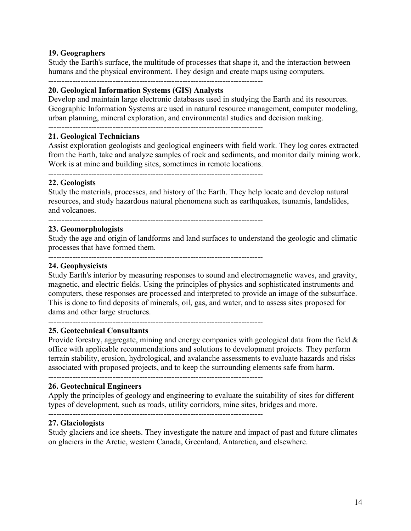# **19. Geographers**

Study the Earth's surface, the multitude of processes that shape it, and the interaction between humans and the physical environment. They design and create maps using computers.

--------------------------------------------------------------------------------

# **20. Geological Information Systems (GIS) Analysts**

Develop and maintain large electronic databases used in studying the Earth and its resources. Geographic Information Systems are used in natural resource management, computer modeling, urban planning, mineral exploration, and environmental studies and decision making.

--------------------------------------------------------------------------------

## **21. Geological Technicians**

Assist exploration geologists and geological engineers with field work. They log cores extracted from the Earth, take and analyze samples of rock and sediments, and monitor daily mining work. Work is at mine and building sites, sometimes in remote locations.

--------------------------------------------------------------------------------

## **22. Geologists**

Study the materials, processes, and history of the Earth. They help locate and develop natural resources, and study hazardous natural phenomena such as earthquakes, tsunamis, landslides, and volcanoes.

--------------------------------------------------------------------------------

## **23. Geomorphologists**

Study the age and origin of landforms and land surfaces to understand the geologic and climatic processes that have formed them.

--------------------------------------------------------------------------------

### **24. Geophysicists**

Study Earth's interior by measuring responses to sound and electromagnetic waves, and gravity, magnetic, and electric fields. Using the principles of physics and sophisticated instruments and computers, these responses are processed and interpreted to provide an image of the subsurface. This is done to find deposits of minerals, oil, gas, and water, and to assess sites proposed for dams and other large structures.

# --------------------------------------------------------------------------------

### **25. Geotechnical Consultants**

Provide forestry, aggregate, mining and energy companies with geological data from the field & office with applicable recommendations and solutions to development projects. They perform terrain stability, erosion, hydrological, and avalanche assessments to evaluate hazards and risks associated with proposed projects, and to keep the surrounding elements safe from harm.

--------------------------------------------------------------------------------

### **26. Geotechnical Engineers**

Apply the principles of geology and engineering to evaluate the suitability of sites for different types of development, such as roads, utility corridors, mine sites, bridges and more.

--------------------------------------------------------------------------------

### **27. Glaciologists**

Study glaciers and ice sheets. They investigate the nature and impact of past and future climates on glaciers in the Arctic, western Canada, Greenland, Antarctica, and elsewhere.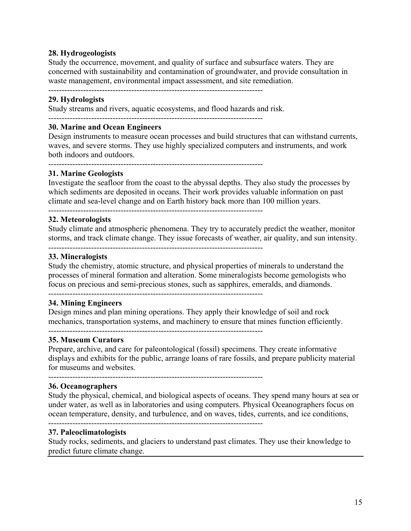## **28. Hydrogeologists**

Study the occurrence, movement, and quality of surface and subsurface waters. They are concerned with sustainability and contamination of groundwater, and provide consultation in waste management, environmental impact assessment, and site remediation.

--------------------------------------------------------------------------------

# **29. Hydrologists**

Study streams and rivers, aquatic ecosystems, and flood hazards and risk.

--------------------------------------------------------------------------------

# **30. Marine and Ocean Engineers**

Design instruments to measure ocean processes and build structures that can withstand currents, waves, and severe storms. They use highly specialized computers and instruments, and work both indoors and outdoors.

--------------------------------------------------------------------------------

# **31. Marine Geologists**

Investigate the seafloor from the coast to the abyssal depths. They also study the processes by which sediments are deposited in oceans. Their work provides valuable information on past climate and sea-level change and on Earth history back more than 100 million years.

--------------------------------------------------------------------------------

### **32. Meteorologists**

Study climate and atmospheric phenomena. They try to accurately predict the weather, monitor storms, and track climate change. They issue forecasts of weather, air quality, and sun intensity.

--------------------------------------------------------------------------------

## **33. Mineralogists**

Study the chemistry, atomic structure, and physical properties of minerals to understand the processes of mineral formation and alteration. Some mineralogists become gemologists who focus on precious and semi-precious stones, such as sapphires, emeralds, and diamonds.

--------------------------------------------------------------------------------

### **34. Mining Engineers**

Design mines and plan mining operations. They apply their knowledge of soil and rock mechanics, transportation systems, and machinery to ensure that mines function efficiently. --------------------------------------------------------------------------------

### **35. Museum Curators**

Prepare, archive, and care for paleontological (fossil) specimens. They create informative displays and exhibits for the public, arrange loans of rare fossils, and prepare publicity material for museums and websites.

--------------------------------------------------------------------------------

### **36. Oceanographers**

Study the physical, chemical, and biological aspects of oceans. They spend many hours at sea or under water, as well as in laboratories and using computers. Physical Oceanographers focus on ocean temperature, density, and turbulence, and on waves, tides, currents, and ice conditions,

--------------------------------------------------------------------------------

#### **37. Paleoclimatologists**

Study rocks, sediments, and glaciers to understand past climates. They use their knowledge to predict future climate change.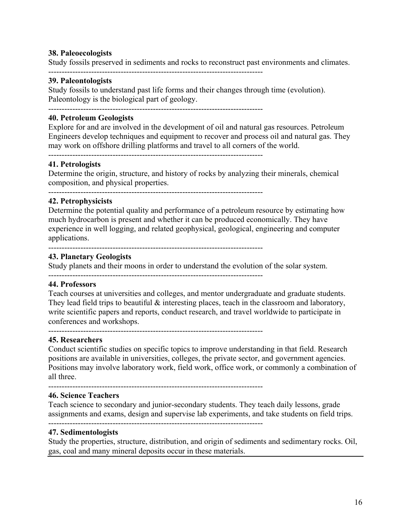### **38. Paleoecologists**

Study fossils preserved in sediments and rocks to reconstruct past environments and climates.

--------------------------------------------------------------------------------

# **39. Paleontologists**

Study fossils to understand past life forms and their changes through time (evolution). Paleontology is the biological part of geology.

--------------------------------------------------------------------------------

# **40. Petroleum Geologists**

Explore for and are involved in the development of oil and natural gas resources. Petroleum Engineers develop techniques and equipment to recover and process oil and natural gas. They may work on offshore drilling platforms and travel to all corners of the world.

--------------------------------------------------------------------------------

#### **41. Petrologists**

Determine the origin, structure, and history of rocks by analyzing their minerals, chemical composition, and physical properties.

--------------------------------------------------------------------------------

# **42. Petrophysicists**

Determine the potential quality and performance of a petroleum resource by estimating how much hydrocarbon is present and whether it can be produced economically. They have experience in well logging, and related geophysical, geological, engineering and computer applications.

--------------------------------------------------------------------------------

### **43. Planetary Geologists**

Study planets and their moons in order to understand the evolution of the solar system.

--------------------------------------------------------------------------------

### **44. Professors**

Teach courses at universities and colleges, and mentor undergraduate and graduate students. They lead field trips to beautiful  $\&$  interesting places, teach in the classroom and laboratory, write scientific papers and reports, conduct research, and travel worldwide to participate in conferences and workshops.

--------------------------------------------------------------------------------

# **45. Researchers**

Conduct scientific studies on specific topics to improve understanding in that field. Research positions are available in universities, colleges, the private sector, and government agencies. Positions may involve laboratory work, field work, office work, or commonly a combination of all three.

--------------------------------------------------------------------------------

# **46. Science Teachers**

Teach science to secondary and junior-secondary students. They teach daily lessons, grade assignments and exams, design and supervise lab experiments, and take students on field trips.

--------------------------------------------------------------------------------

### **47. Sedimentologists**

Study the properties, structure, distribution, and origin of sediments and sedimentary rocks. Oil, gas, coal and many mineral deposits occur in these materials.